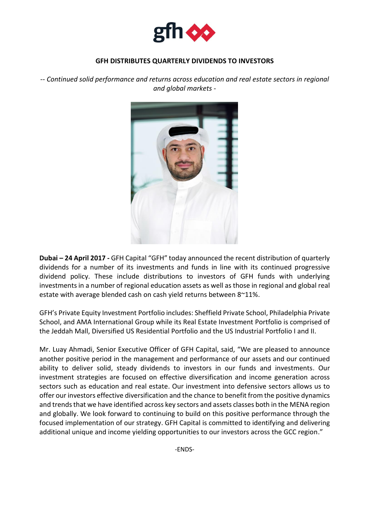

## **GFH DISTRIBUTES QUARTERLY DIVIDENDS TO INVESTORS**

*-- Continued solid performance and returns across education and real estate sectors in regional and global markets -*



**Dubai – 24 April 2017 -** GFH Capital "GFH" today announced the recent distribution of quarterly dividends for a number of its investments and funds in line with its continued progressive dividend policy. These include distributions to investors of GFH funds with underlying investments in a number of regional education assets as well as those in regional and global real estate with average blended cash on cash yield returns between 8~11%.

GFH's Private Equity Investment Portfolio includes: Sheffield Private School, Philadelphia Private School, and AMA International Group while its Real Estate Investment Portfolio is comprised of the Jeddah Mall, Diversified US Residential Portfolio and the US Industrial Portfolio I and II.

Mr. Luay Ahmadi, Senior Executive Officer of GFH Capital, said, "We are pleased to announce another positive period in the management and performance of our assets and our continued ability to deliver solid, steady dividends to investors in our funds and investments. Our investment strategies are focused on effective diversification and income generation across sectors such as education and real estate. Our investment into defensive sectors allows us to offer our investors effective diversification and the chance to benefit from the positive dynamics and trends that we have identified across key sectors and assets classes both in the MENA region and globally. We look forward to continuing to build on this positive performance through the focused implementation of our strategy. GFH Capital is committed to identifying and delivering additional unique and income yielding opportunities to our investors across the GCC region."